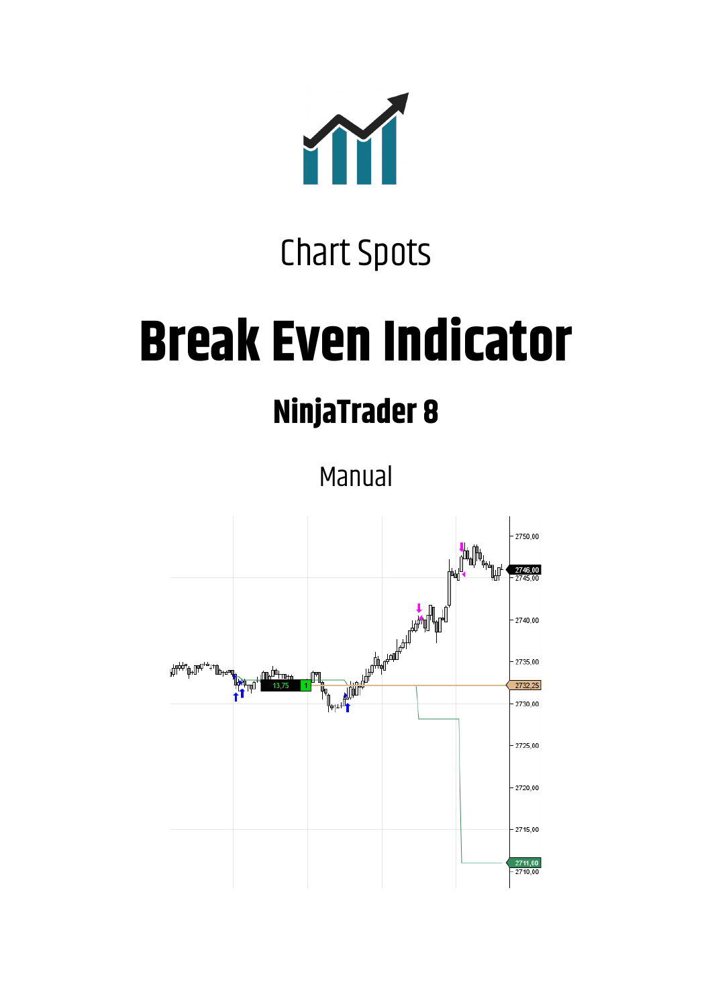

# Chart Spots

# **Break Even Indicator**

# **NinjaTrader 8**

Manual

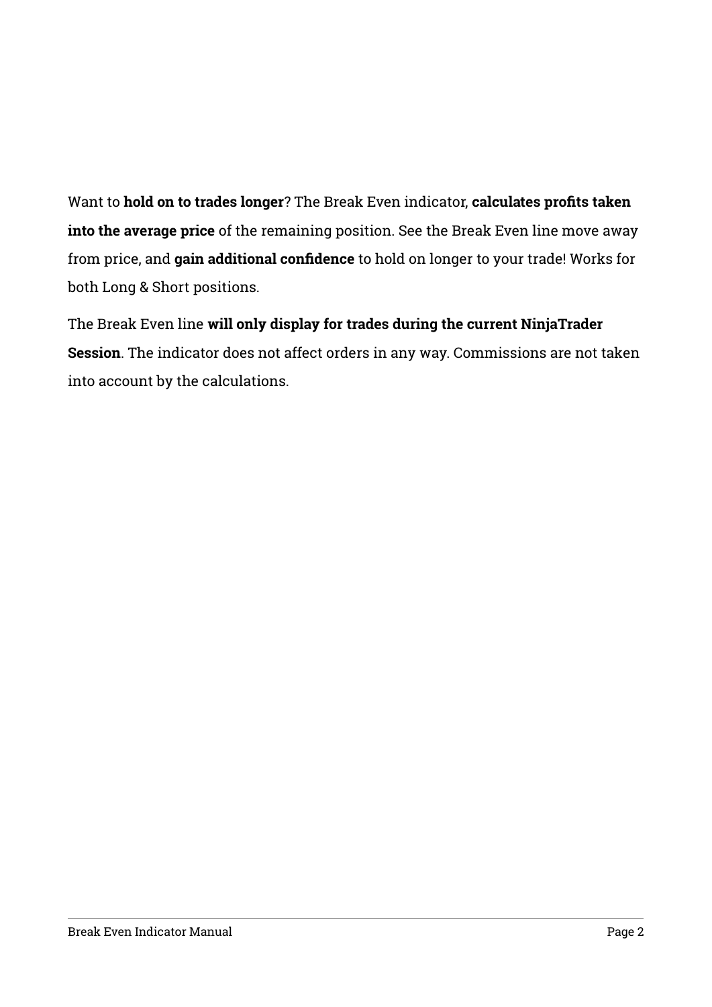Want to **hold on to trades longer**? The Break Even indicator, **calculates profts taaen into the average price** of the remaining position. See the Break Even line move away from price, and **gain additional confdence** to hold on longer to your trade! Works for both Long & Short positions.

The Break Even line **will only display for trades during the current NinjaTrader Session**. The indicator does not affect orders in any way. Commissions are not taken into account by the calculations.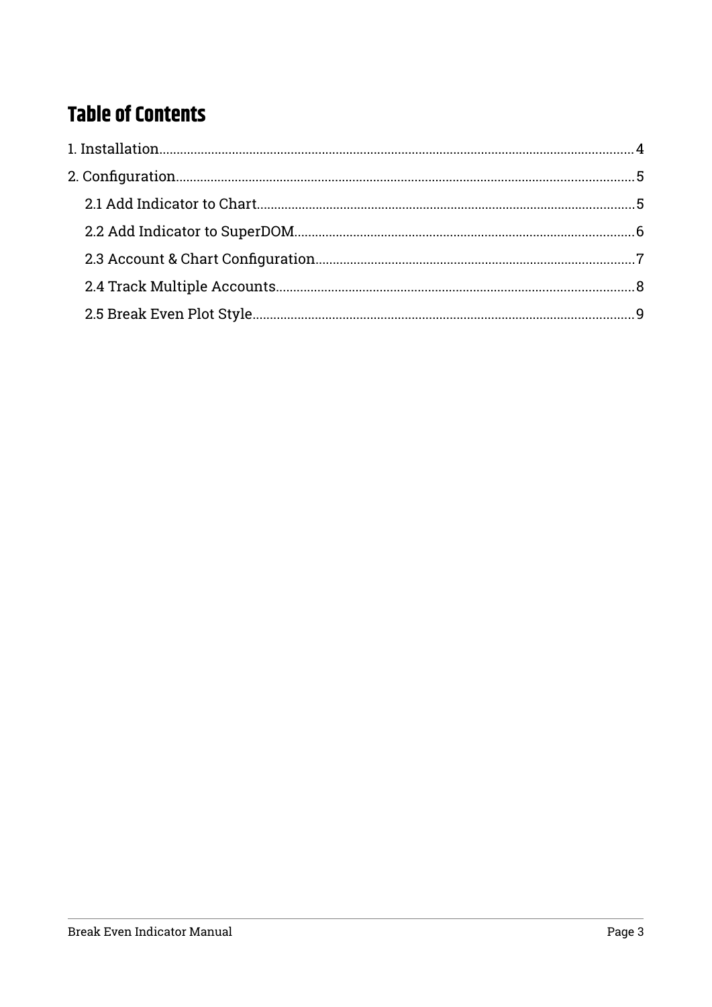## **Table of Contents**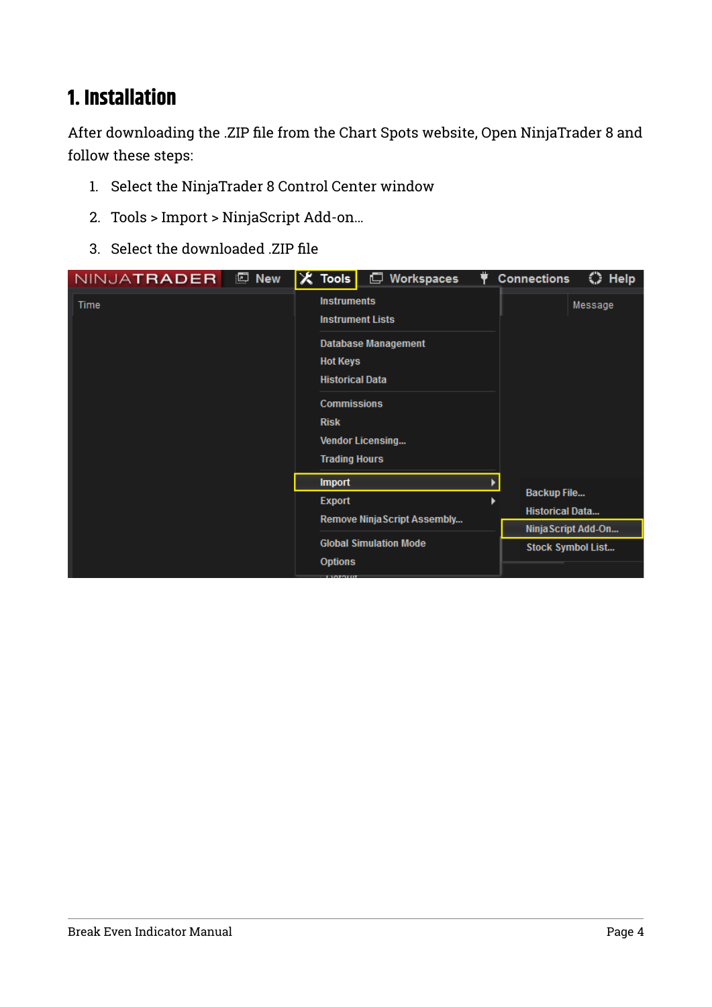## <span id="page-3-0"></span>**1. Installation**

After downloading the .ZIP file from the Chart Spots website, Open NinjaTrader 8 and follow these steps:

- 1. Select the NinjaTrader 8 Control Center window
- 2. Tools > Import > NinjaScript Add-on…
- 3. Select the downloaded .ZIP file

| NINJATRADER | $\Box$ New | $\mathsf{\%}$ Tools                                                                                                          | Workspaces<br>$\Box$                                                             | $\bf{Q}$ | <b>Connections</b><br>C Help                 |
|-------------|------------|------------------------------------------------------------------------------------------------------------------------------|----------------------------------------------------------------------------------|----------|----------------------------------------------|
| Time        |            | <b>Instruments</b><br><b>Hot Keys</b><br><b>Historical Data</b><br><b>Commissions</b><br><b>Risk</b><br><b>Trading Hours</b> | <b>Instrument Lists</b><br><b>Database Management</b><br><b>Vendor Licensing</b> |          | Message                                      |
|             |            | <b>Import</b>                                                                                                                |                                                                                  |          |                                              |
|             |            | <b>Export</b>                                                                                                                |                                                                                  |          | <b>Backup File</b><br><b>Historical Data</b> |
|             |            |                                                                                                                              | Remove Ninja Script Assembly                                                     |          | Ninja Script Add-On                          |
|             |            | <b>Options</b>                                                                                                               | <b>Global Simulation Mode</b>                                                    |          | <b>Stock Symbol List</b>                     |
|             |            | <b>LUATOLIT</b>                                                                                                              |                                                                                  |          |                                              |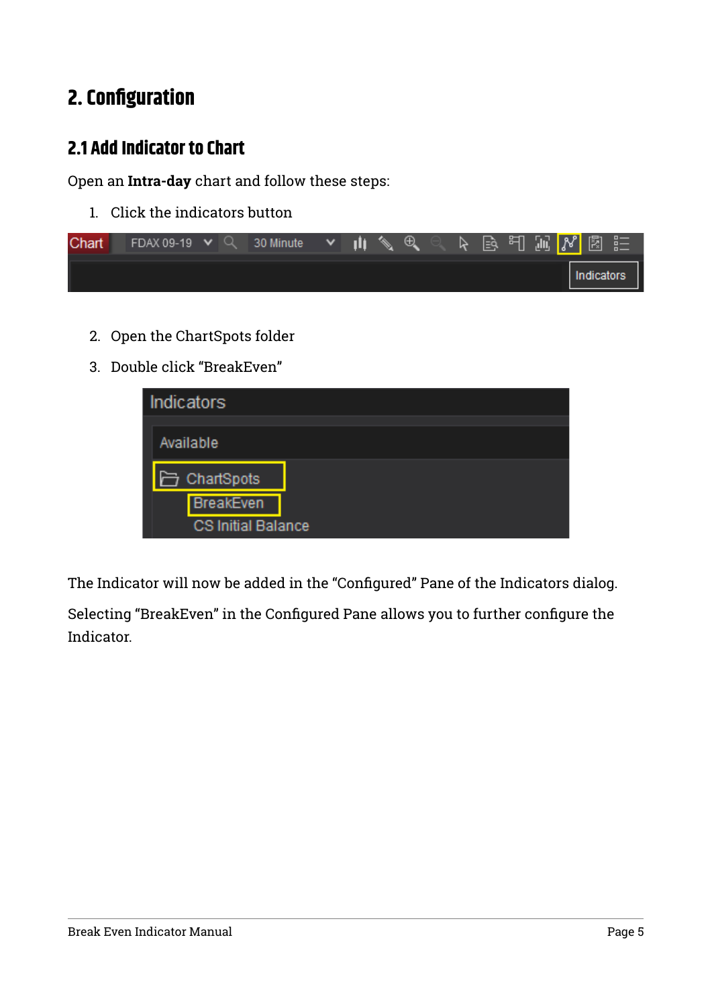## <span id="page-4-1"></span>**2. Configuration**

#### <span id="page-4-0"></span>**2.1 Add Indicator to Chart**

Open an **Intra-day** chart and follow these steps:

1. Click the indicators button

| Chart | FDAX 09-19 $\vee$ Q 30 Minute |  | $\sim$ 10. | $\mathscr{A}$ | $^{\circledR}$ |  | ト 国 刊 加 <mark>ぴ</mark> 園 註 |  |            |  |
|-------|-------------------------------|--|------------|---------------|----------------|--|----------------------------|--|------------|--|
|       |                               |  |            |               |                |  |                            |  | Indicators |  |

- 2. Open the ChartSpots folder
- 3. Double click "BreakEven"

| <b>Indicators</b>         |  |
|---------------------------|--|
| Available                 |  |
| □ ChartSpots              |  |
| <b>BreakEven</b>          |  |
| <b>CS Initial Balance</b> |  |

The Indicator will now be added in the "Configured" Pane of the Indicators dialog.

Selecting "BreakEven" in the Configured Pane allows you to further configure the Indicator.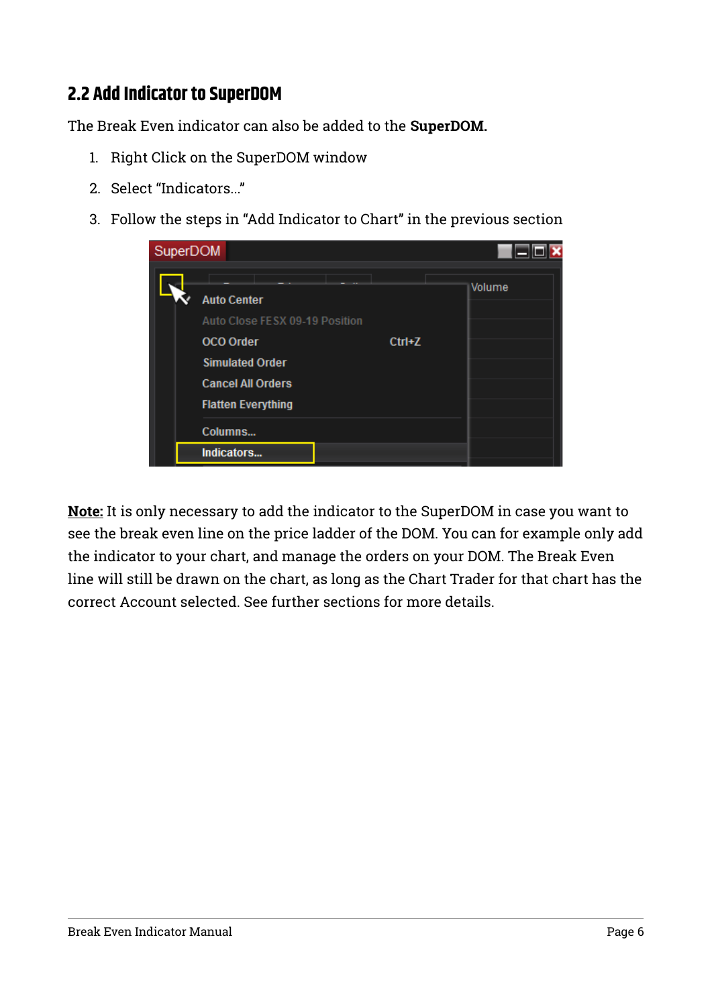#### <span id="page-5-0"></span>**2.2 Add Indicator to SuperDOM**

The Break Even indicator can also be added to the **SuperDOM.**

- 1. Right Click on the SuperDOM window
- 2. Select "Indicators..."
- 3. Follow the steps in "Add Indicator to Chart" in the previous section

| SuperDOM                                                                                                                                                    |          |        |
|-------------------------------------------------------------------------------------------------------------------------------------------------------------|----------|--------|
| <b>Auto Center</b><br>Auto Close FESX 09-19 Position<br><b>OCO</b> Order<br><b>Simulated Order</b><br><b>Cancel All Orders</b><br><b>Flatten Everything</b> | $Ctrl+Z$ | Volume |
| Columns                                                                                                                                                     |          |        |
| Indicators                                                                                                                                                  |          |        |

**Note:** It is only necessary to add the indicator to the SuperDOM in case you want to see the break even line on the price ladder of the DOM. You can for example only add the indicator to your chart, and manage the orders on your DOM. The Break Even line will still be drawn on the chart, as long as the Chart Trader for that chart has the correct Account selected. See further sections for more details.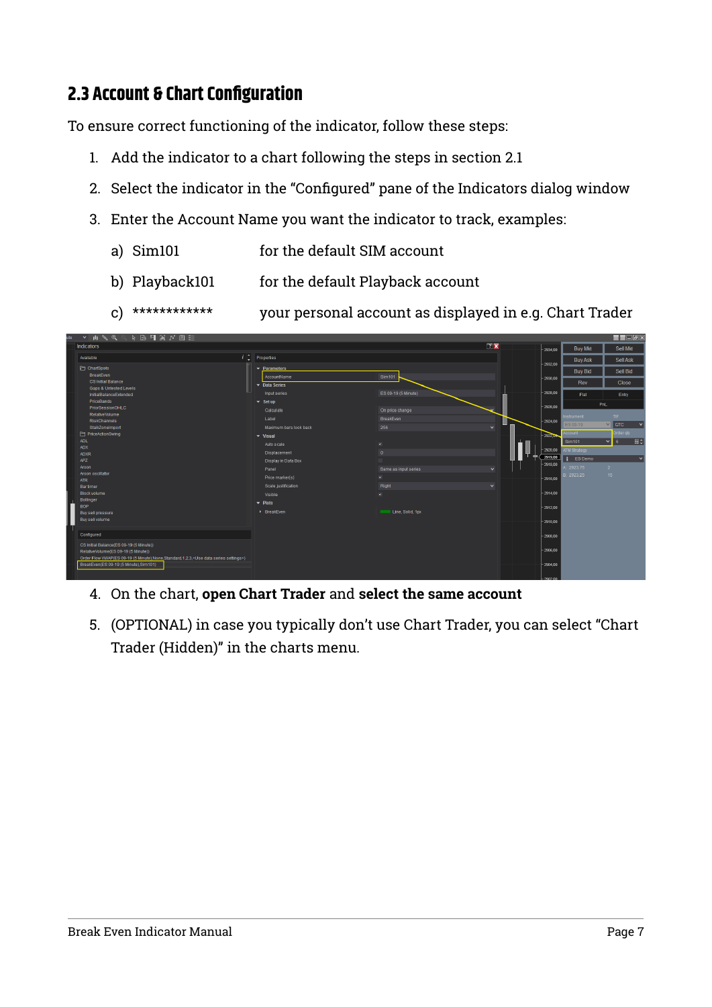#### <span id="page-6-0"></span>**2.3 Account & Chart Configuration**

To ensure correct functioning of the indicator, follow these steps:

- 1. Add the indicator to a chart following the steps in section 2.1
- 2. Select the indicator in the "Configured" pane of the Indicators dialog window
- 3. Enter the Account Name you want the indicator to track, examples:
	- a) Sim101 for the default SIM account
	- b) Playback101 for the default Playback account
	- c) \*\*\*\*\*\*\*\*\*\*\*\* your personal account as displayed in e.g. Chart Trader

| ▼ 中 多 食 ◎ 下 昼 引 漏 が 图 注<br>ute                                                                         |                                      |                         |                               |            |                 | $\blacksquare$ $\blacksquare$ $\blacksquare$ $\blacksquare$ |
|--------------------------------------------------------------------------------------------------------|--------------------------------------|-------------------------|-------------------------------|------------|-----------------|-------------------------------------------------------------|
| Indicators                                                                                             |                                      |                         | $\overline{2}$ $\overline{2}$ | $-2934.00$ | <b>Buy Mkt</b>  | Sell Mkt                                                    |
| Available                                                                                              | $i$ $\uparrow$ Properties            |                         |                               |            | <b>Buy Ask</b>  | Sell Ask                                                    |
| ChartSpots                                                                                             | $\blacktriangleright$ Parameters     |                         |                               | $-2932.00$ | <b>Buy Bid</b>  | Sell Bid                                                    |
| BreakEven<br>CS Initial Balance                                                                        | AccountName                          | Sim101                  |                               | $-2930,00$ |                 |                                                             |
| <b>Gaps &amp; Untested Levels</b>                                                                      | $\overline{\phantom{a}}$ Data Series |                         |                               |            | Rev             | <b>Close</b>                                                |
| InitialBalanceExtended                                                                                 | Input series                         | ES 09-19 (5 Minute)     |                               | $-2928,00$ | Flat            | Entry                                                       |
| PriceBands<br>PriorSessionOHLC                                                                         | $\blacktriangleright$ Set up         |                         |                               | $-2926.00$ |                 | <b>PnL</b>                                                  |
| RelativeVolume                                                                                         | Calculate                            | On price change         |                               |            | Instrument      | TIF <sub>1</sub>                                            |
| RiskChannels<br>StalkZoneImport                                                                        | Label<br>Maximum bars look back      | BreakEven<br>256        | $\vee$                        | $-2924,00$ | <b>ES 09-19</b> | $\vee$ GTC                                                  |
| PriceActionSwing                                                                                       | $\blacktriangledown$ Visual          |                         |                               | $-2922.08$ | Account         | Order gty                                                   |
| ADL.                                                                                                   | Auto scale                           | $\mathbf{x}$            |                               |            | Sim101          | 日:<br>$\vee$ 6                                              |
| ADX<br><b>ADXR</b>                                                                                     | Displacement                         | $\Omega$                |                               | $-2920,00$ | ATM Strategy    |                                                             |
| APZ                                                                                                    | Display in Data Box                  |                         |                               | 2919,00    | ES Demo         | $\checkmark$                                                |
| Aroon                                                                                                  | Panel                                | Same as input series    | $\vee$                        | $-2918,00$ | L 2923,75       | 2 <sup>7</sup>                                              |
| Aroon oscillator<br><b>ATR</b>                                                                         | Price marker(s)                      | $\mathbf x$             |                               | $-2916.00$ | B: 2923.25      | 15 <sub>1</sub>                                             |
| <b>Bartimer</b>                                                                                        | Scale justification                  | Right                   | $\mathbf{v}$                  |            |                 |                                                             |
| <b>Block volume</b>                                                                                    | Visible                              | $\overline{\mathbf{v}}$ |                               | $-2914.00$ |                 |                                                             |
| Bollinger<br><b>BOP</b>                                                                                | $\blacktriangleright$ Plots          |                         |                               | $-2912,00$ |                 |                                                             |
| Buy sell pressure                                                                                      | > BreakEven                          | Line, Solid, 1px        |                               |            |                 |                                                             |
| Buy sell volume                                                                                        |                                      |                         |                               | $-2910.00$ |                 |                                                             |
| Configured                                                                                             |                                      |                         |                               |            |                 |                                                             |
|                                                                                                        |                                      |                         |                               | $-2908.00$ |                 |                                                             |
| CS Initial Balance(ES 09-19 (5 Minute))<br>RelativeVolume(ES 09-19 (5 Minute))                         |                                      |                         |                               | $-2906,00$ |                 |                                                             |
| Order Flow VWAP(ES 09-19 (5 Minute), None, Standard, 1,2,3, <use data="" series="" settings="">)</use> |                                      |                         |                               |            |                 |                                                             |
| BreakEven(ES 09-19 (5 Minute), Sim101)                                                                 |                                      |                         |                               | $-2904.00$ |                 |                                                             |
|                                                                                                        |                                      |                         |                               |            |                 |                                                             |

- 4. On the chart, **open Chart Trader** and **select the same account**
- 5. (OPTIONAL) in case you typically don't use Chart Trader, you can select "Chart Trader (Hidden)" in the charts menu.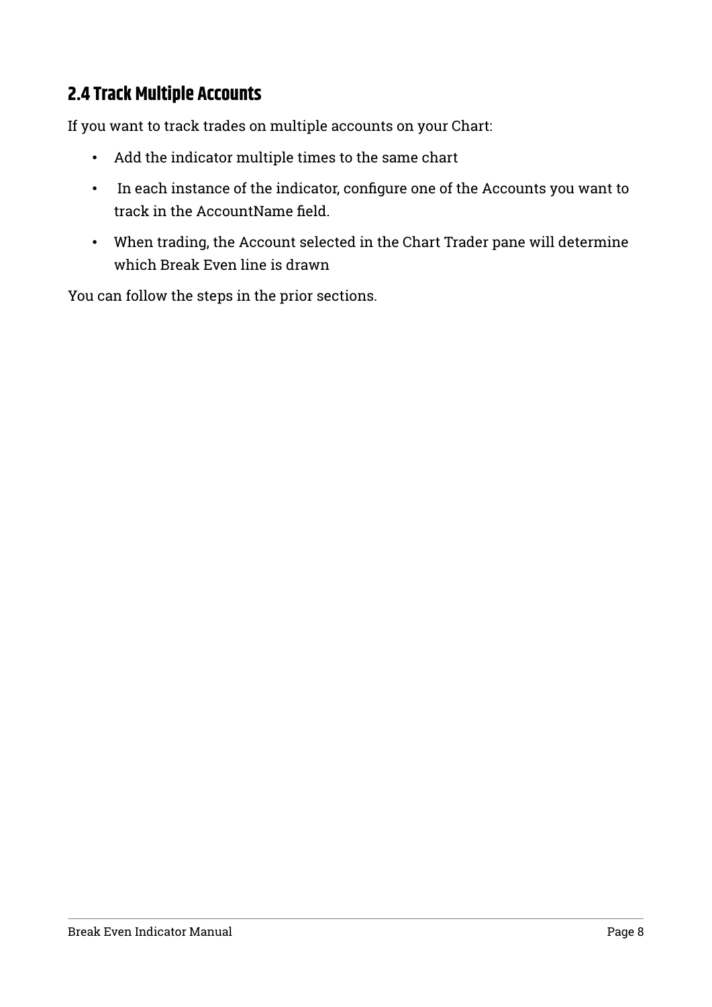#### <span id="page-7-0"></span>**2.4 Track Multiple Accounts**

If you want to track trades on multiple accounts on your Chart:

- Add the indicator multiple times to the same chart
- In each instance of the indicator, configure one of the Accounts you want to track in the AccountName field.
- When trading, the Account selected in the Chart Trader pane will determine which Break Even line is drawn

You can follow the steps in the prior sections.